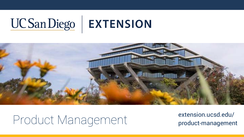### UCSanDiego | EXTENSION



## Product Management extension.ucsd.edu/<br>
product management

product-management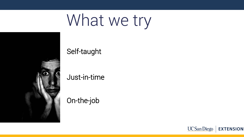## What we try



Self-taught

Just-in-time

On-the-job

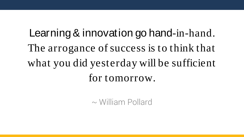Learning & innovation go hand-in-hand. The arrogance of success is to think that what you did yesterday will be sufficient for tomorrow.

~ William Pollard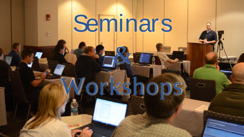# **Seminars**

2

orkshops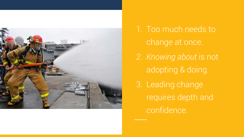

1. Too much needs to change at once. *2. Knowing about* is not adopting & doing. 3. Leading change requires depth and confidence.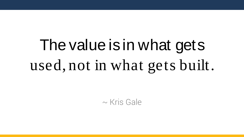## The value is in what gets used, not in what gets built.

 $\sim$  Kris Gale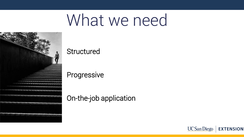## What we need



### **Structured**

Progressive

### On-the-job application

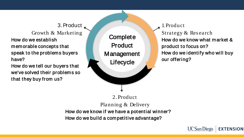### 3. Product

Growth & Marketing How do we establish memorable concepts that speak to the problems buyers have?

How do we tell our buyers that we've solved their problems so that they buy from us?



1. Product

Strategy & Res earch How do we know what market & product to focus on? How do we identify who will buy our offering?

2. Product Planning & Delivery How do we know if we have a potential winner? How do we build a competitive advantage?

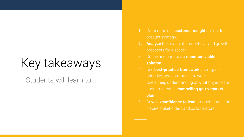### Key takeaways

### Students will learn to...

- 1. Gather and use **customer insights** to guide
- **2. Analyze** the financial, competitive, and growth
- 3. Define and prioritize a **minimum viable solution**.
- 4. Use **best-practice frameworks** to organize,
- about to create a **compelling go-to-market plan**.
- 6. Develop **confidence to lead** product teams and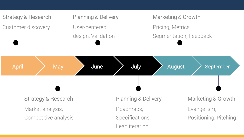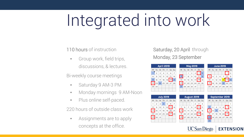## Integrated into work

#### 110 hours of instruction

• Group work, field trips, discussions, & lectures.

Bi-weekly course meetings

- Saturday 9 AM-3 PM
- Monday mornings 9 AM-Noon
- Plus online self-paced.

220 hours of outside class work

• Assignments are to apply concepts at the office.

#### Saturday, 20 April through Monday, 23 September

| <b>April 2019</b> |    |    |                  |           |    | <b>May 2019</b> |                 |    |    |             |    |    | <b>June 2019</b> |                |    |    |                  |    |    |                |
|-------------------|----|----|------------------|-----------|----|-----------------|-----------------|----|----|-------------|----|----|------------------|----------------|----|----|------------------|----|----|----------------|
| M                 | Tu | W  | Тh               | F         | Sa | Su              | м               | Tu | W  |             |    | Sa | Su               | M              | Tu | W  | Th               |    | Sa | -Su            |
|                   | 2  | з  | 4                | 5         | 6  | 7               |                 |    | 1  | 2           | 3  | 4  | 5                |                |    |    |                  |    |    | $\overline{2}$ |
| 8                 | 9  | 10 | 11               | $12^{12}$ | 13 | 14              | 6               | 7  | 8  | 9           | 10 | 11 | 12               | з              | 4  | 5  | 6                | 7  | 8  | 9              |
| 15                | 16 | 17 | 18               | 19        | 20 | 21              | 13              | 14 | 15 | 16          | 17 | 18 | 19               | 10             | 11 | 12 | 13               | 14 | 15 | 16             |
| 22                | 23 | 24 | 25               | 26        | 27 | 28              | 20              | 21 | 22 | 23          | 24 | 25 | 26               | 17             | 18 | 19 | 20               | 21 | 22 | 23             |
| 29                | 30 |    |                  |           |    |                 | 27              | 28 | 29 | 30          | 31 |    |                  | 24             | 25 | 26 | 27               | 28 | 29 | 30             |
|                   |    |    |                  |           |    |                 |                 |    |    |             |    |    |                  |                |    |    |                  |    |    |                |
|                   |    |    |                  |           |    |                 |                 |    |    |             |    |    |                  |                |    |    |                  |    |    |                |
|                   |    |    |                  |           |    |                 |                 |    |    |             |    |    |                  |                |    |    |                  |    |    |                |
|                   |    |    | <b>July 2019</b> |           |    |                 |                 |    |    | August 2019 |    |    |                  |                |    |    | September 2019   |    |    |                |
| M                 | Tu | W  | Тh               | F         | Sa | Su              | M               | Tu | W  | Th          | F  | Sa | Su               | м              | Tu |    | Th               |    |    | Sa Su          |
| 1                 | 2  | з  | 4                | 5         | 6  | 7               |                 |    |    | 1           | 2  | з  | 4                |                |    |    |                  |    |    | 1              |
| 8                 | 9  | 10 | 11               | 12        | 13 | 14              | 5               | 6  | 7  | 8           | 9  | 10 | 11               | $\overline{c}$ | 3  | 4  | 5                | 6  | 7  | 8              |
|                   | 16 | 17 | 18               | 19        | 20 | 21              | 12 <sup>°</sup> | 13 | 14 | 15          | 16 | 17 | 18               | 9              | 10 | 11 | 12               | 13 | 14 | 15             |
| 15<br>22          | 23 | 24 | 25               | 26        | 27 | 28              | 19              | 20 | 21 | 22          | 23 | 24 | 25               | 16             | 17 | 18 | 19               | 20 | 21 | 22             |
| 29                | 30 | 31 |                  |           |    |                 | 26              | 27 | 28 | 29          | 30 | 31 |                  | 23             | 24 | 25 | 26               | 27 | 28 | 29             |
|                   |    |    |                  |           |    |                 |                 |    |    |             |    |    |                  | 30             |    |    |                  |    |    |                |
|                   |    |    |                  |           |    |                 |                 |    |    |             |    |    |                  |                |    |    |                  |    |    |                |
|                   |    |    |                  |           |    |                 |                 |    |    |             |    |    |                  | UC San Diego   |    |    | <b>EXTENSION</b> |    |    |                |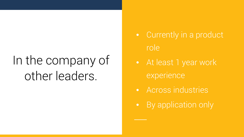### In the company of other leaders.

- Currently in a product role
- At least 1 year work experience
- Across industries
- **By application only**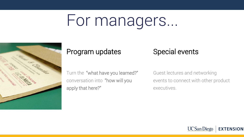## For managers...



#### Program updates

### Special events

Turn the "what have you learned?" conversation into "how will you apply that here?"

Guest lectures and networking events to connect with other product executives.

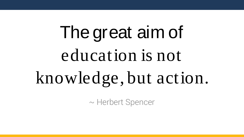The great aim of education is not knowledge, but action.

~ Herbert Spencer